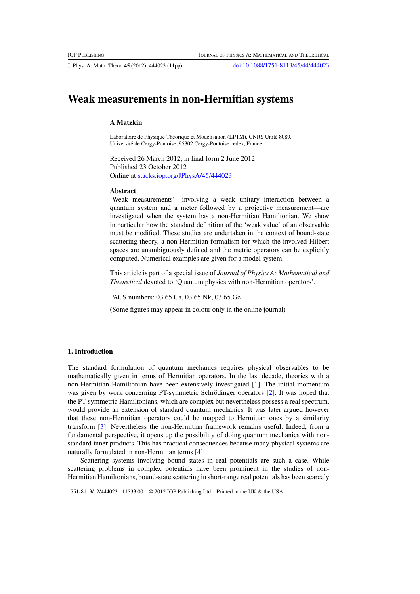J. Phys. A: Math. Theor. **45** (2012) 444023 (11pp) [doi:10.1088/1751-8113/45/44/444023](http://dx.doi.org/10.1088/1751-8113/45/44/444023)

# **Weak measurements in non-Hermitian systems**

# **A Matzkin**

Laboratoire de Physique Théorique et Modélisation (LPTM), CNRS Unité 8089, Universite de Cergy-Pontoise, 95302 Cergy-Pontoise cedex, France ´

Received 26 March 2012, in final form 2 June 2012 Published 23 October 2012 Online at [stacks.iop.org/JPhysA/45/444023](http://stacks.iop.org/JPhysA/45/444023)

# **Abstract**

'Weak measurements'—involving a weak unitary interaction between a quantum system and a meter followed by a projective measurement—are investigated when the system has a non-Hermitian Hamiltonian. We show in particular how the standard definition of the 'weak value' of an observable must be modified. These studies are undertaken in the context of bound-state scattering theory, a non-Hermitian formalism for which the involved Hilbert spaces are unambiguously defined and the metric operators can be explicitly computed. Numerical examples are given for a model system.

This article is part of a special issue of *Journal of Physics A: Mathematical and Theoretical* devoted to 'Quantum physics with non-Hermitian operators'.

PACS numbers: 03.65.Ca, 03.65.Nk, 03.65.Ge

(Some figures may appear in colour only in the online journal)

# **1. Introduction**

The standard formulation of quantum mechanics requires physical observables to be mathematically given in terms of Hermitian operators. In the last decade, theories with a non-Hermitian Hamiltonian have been extensively investigated [\[1](#page-10-0)]. The initial momentum was given by work concerning PT-symmetric Schrödinger operators [[2\]](#page-10-0). It was hoped that the PT-symmetric Hamiltonians, which are complex but nevertheless possess a real spectrum, would provide an extension of standard quantum mechanics. It was later argued however that these non-Hermitian operators could be mapped to Hermitian ones by a similarity transform [\[3](#page-10-0)]. Nevertheless the non-Hermitian framework remains useful. Indeed, from a fundamental perspective, it opens up the possibility of doing quantum mechanics with nonstandard inner products. This has practical consequences because many physical systems are naturally formulated in non-Hermitian terms [\[4](#page-10-0)].

Scattering systems involving bound states in real potentials are such a case. While scattering problems in complex potentials have been prominent in the studies of non-Hermitian Hamiltonians, bound-state scattering in short-range real potentials has been scarcely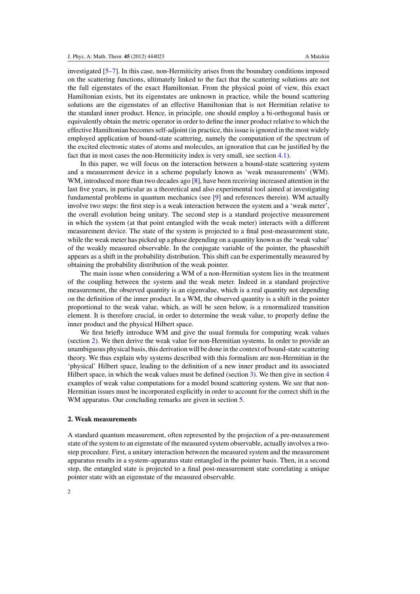investigated [\[5–7](#page--1-0)]. In this case, non-Hermiticity arises from the boundary conditions imposed on the scattering functions, ultimately linked to the fact that the scattering solutions are not the full eigenstates of the exact Hamiltonian. From the physical point of view, this exact Hamiltonian exists, but its eigenstates are unknown in practice, while the bound scattering solutions are the eigenstates of an effective Hamiltonian that is not Hermitian relative to the standard inner product. Hence, in principle, one should employ a bi-orthogonal basis or equivalently obtain the metric operator in order to define the inner product relative to which the effective Hamiltonian becomes self-adjoint (in practice, this issue is ignored in the most widely employed application of bound-state scattering, namely the computation of the spectrum of the excited electronic states of atoms and molecules, an ignoration that can be justified by the fact that in most cases the non-Hermiticity index is very small, see section [4.1\)](#page-7-0).

In this paper, we will focus on the interaction between a bound-state scattering system and a measurement device in a scheme popularly known as 'weak measurements' (WM). WM, introduced more than two decades ago [\[8](#page--1-0)], have been receiving increased attention in the last five years, in particular as a theoretical and also experimental tool aimed at investigating fundamental problems in quantum mechanics (see [\[9\]](#page--1-0) and references therein). WM actually involve two steps: the first step is a weak interaction between the system and a 'weak meter', the overall evolution being unitary. The second step is a standard projective measurement in which the system (at that point entangled with the weak meter) interacts with a different measurement device. The state of the system is projected to a final post-measurement state, while the weak meter has picked up a phase depending on a quantity known as the 'weak value' of the weakly measured observable. In the conjugate variable of the pointer, the phaseshift appears as a shift in the probability distribution. This shift can be experimentally measured by obtaining the probability distribution of the weak pointer.

The main issue when considering a WM of a non-Hermitian system lies in the treatment of the coupling between the system and the weak meter. Indeed in a standard projective measurement, the observed quantity is an eigenvalue, which is a real quantity not depending on the definition of the inner product. In a WM, the observed quantity is a shift in the pointer proportional to the weak value, which, as will be seen below, is a renormalized transition element. It is therefore crucial, in order to determine the weak value, to properly define the inner product and the physical Hilbert space.

We first briefly introduce WM and give the usual formula for computing weak values (section [2\)](#page-2-0). We then derive the weak value for non-Hermitian systems. In order to provide an unambiguous physical basis, this derivation will be done in the context of bound-state scattering theory. We thus explain why systems described with this formalism are non-Hermitian in the 'physical' Hilbert space, leading to the definition of a new inner product and its associated Hilbert space, in which the weak values must be defined (section [3\)](#page-4-0). We then give in section [4](#page-7-0) examples of weak value computations for a model bound scattering system. We see that non-Hermitian issues must be incorporated explicitly in order to account for the correct shift in the WM apparatus. Our concluding remarks are given in section [5.](#page-10-0)

# **2. Weak measurements**

A standard quantum measurement, often represented by the projection of a pre-measurement state of the system to an eigenstate of the measured system observable, actually involves a twostep procedure. First, a unitary interaction between the measured system and the measurement apparatus results in a system–apparatus state entangled in the pointer basis. Then, in a second step, the entangled state is projected to a final post-measurement state correlating a unique pointer state with an eigenstate of the measured observable.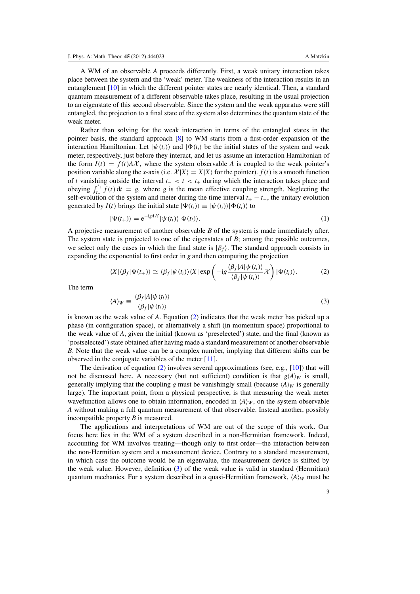<span id="page-2-0"></span>A WM of an observable *A* proceeds differently. First, a weak unitary interaction takes place between the system and the 'weak' meter. The weakness of the interaction results in an entanglement [\[10\]](#page--1-0) in which the different pointer states are nearly identical. Then, a standard quantum measurement of a different observable takes place, resulting in the usual projection to an eigenstate of this second observable. Since the system and the weak apparatus were still entangled, the projection to a final state of the system also determines the quantum state of the weak meter.

Rather than solving for the weak interaction in terms of the entangled states in the pointer basis, the standard approach [\[8\]](#page--1-0) to WM starts from a first-order expansion of the interaction Hamiltonian. Let  $|\psi(t_i)\rangle$  and  $|\Phi(t_i)\rangle$  be the initial states of the system and weak meter, respectively, just before they interact, and let us assume an interaction Hamiltonian of the form  $I(t) = f(t)A\mathcal{X}$ , where the system observable *A* is coupled to the weak pointer's position variable along the *x*-axis (i.e.  $\mathcal{X}|X\rangle = X|X\rangle$  for the pointer).  $f(t)$  is a smooth function of *t* vanishing outside the interval *t*<sup>−</sup> < *t* < *t*<sup>+</sup> during which the interaction takes place and obeying  $\int_{t}^{t+}$  $t_{t-}$  *f*(*t*) d*t* = *g*, where *g* is the mean effective coupling strength. Neglecting the self-evolution of the system and meter during the time interval  $t_{+} - t_{-}$ , the unitary evolution generated by  $I(t)$  brings the initial state  $|\Psi(t_i)\rangle \equiv |\psi(t_i)\rangle |\Phi(t_i)\rangle$  to

$$
|\Psi(t_+)\rangle = e^{-igA\mathcal{X}} |\psi(t_i)\rangle |\Phi(t_i)\rangle.
$$
 (1)

A projective measurement of another observable *B* of the system is made immediately after. The system state is projected to one of the eigenstates of *B*; among the possible outcomes, we select only the cases in which the final state is  $|\beta_f\rangle$ . The standard approach consists in expanding the exponential to first order in *g* and then computing the projection

$$
\langle X | \langle \beta_f | \Psi(t_+) \rangle \simeq \langle \beta_f | \psi(t_i) \rangle \langle X | \exp \left( -ig \frac{\langle \beta_f | A | \psi(t_i) \rangle}{\langle \beta_f | \psi(t_i) \rangle} \chi \right) | \Phi(t_i) \rangle. \tag{2}
$$

The term

$$
\langle A \rangle_W \equiv \frac{\langle \beta_f | A | \psi(t_i) \rangle}{\langle \beta_f | \psi(t_i) \rangle} \tag{3}
$$

is known as the weak value of *A*. Equation [\(2\)](#page-3-0) indicates that the weak meter has picked up a phase (in configuration space), or alternatively a shift (in momentum space) proportional to the weak value of *A*, given the initial (known as 'preselected') state, and the final (known as 'postselected') state obtained after having made a standard measurement of another observable *B*. Note that the weak value can be a complex number, implying that different shifts can be observed in the conjugate variables of the meter [\[11](#page--1-0)].

The derivation of equation  $(2)$  involves several approximations (see, e.g., [\[10\]](#page--1-0)) that will not be discussed here. A necessary (but not sufficient) condition is that  $g\langle A \rangle_W$  is small, generally implying that the coupling *g* must be vanishingly small (because  $\langle A \rangle_W$  is generally large). The important point, from a physical perspective, is that measuring the weak meter wavefunction allows one to obtain information, encoded in  $\langle A \rangle_W$ , on the system observable *A* without making a full quantum measurement of that observable. Instead another, possibly incompatible property *B* is measured.

The applications and interpretations of WM are out of the scope of this work. Our focus here lies in the WM of a system described in a non-Hermitian framework. Indeed, accounting for WM involves treating—though only to first order—the interaction between the non-Hermitian system and a measurement device. Contrary to a standard measurement, in which case the outcome would be an eigenvalue, the measurement device is shifted by the weak value. However, definition [\(3\)](#page-3-0) of the weak value is valid in standard (Hermitian) quantum mechanics. For a system described in a quasi-Hermitian framework,  $\langle A \rangle_W$  must be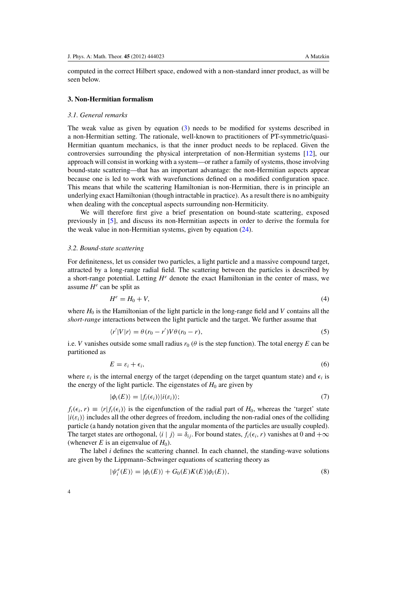<span id="page-3-0"></span>computed in the correct Hilbert space, endowed with a non-standard inner product, as will be seen below.

#### **3. Non-Hermitian formalism**

## *3.1. General remarks*

The weak value as given by equation (3) needs to be modified for systems described in a non-Hermitian setting. The rationale, well-known to practitioners of PT-symmetric/quasi-Hermitian quantum mechanics, is that the inner product needs to be replaced. Given the controversies surrounding the physical interpretation of non-Hermitian systems [\[12](#page--1-0)], our approach will consist in working with a system—or rather a family of systems, those involving bound-state scattering—that has an important advantage: the non-Hermitian aspects appear because one is led to work with wavefunctions defined on a modified configuration space. This means that while the scattering Hamiltonian is non-Hermitian, there is in principle an underlying exact Hamiltonian (though intractable in practice). As a result there is no ambiguity when dealing with the conceptual aspects surrounding non-Hermiticity.

We will therefore first give a brief presentation on bound-state scattering, exposed previously in [\[5](#page--1-0)], and discuss its non-Hermitian aspects in order to derive the formula for the weak value in non-Hermitian systems, given by equation [\(24\)](#page-7-0).

### *3.2. Bound-state scattering*

For definiteness, let us consider two particles, a light particle and a massive compound target, attracted by a long-range radial field. The scattering between the particles is described by a short-range potential. Letting  $H^e$  denote the exact Hamiltonian in the center of mass, we assume  $H^e$  can be split as

$$
H^e = H_0 + V,\tag{4}
$$

where  $H_0$  is the Hamiltonian of the light particle in the long-range field and *V* contains all the *short-range* interactions between the light particle and the target. We further assume that

$$
\langle r'|V|r\rangle = \theta(r_0 - r')V\theta(r_0 - r),\tag{5}
$$

i.e. *V* vanishes outside some small radius  $r_0$  ( $\theta$  is the step function). The total energy *E* can be partitioned as

$$
E = \varepsilon_i + \epsilon_i,\tag{6}
$$

where  $\varepsilon_i$  is the internal energy of the target (depending on the target quantum state) and  $\epsilon_i$  is the energy of the light particle. The eigenstates of  $H_0$  are given by

$$
|\phi_i(E)\rangle = |f_i(\epsilon_i)\rangle |i(\epsilon_i)\rangle; \tag{7}
$$

 $f_i(\epsilon_i, r) \equiv \langle r | f_i(\epsilon_i) \rangle$  is the eigenfunction of the radial part of  $H_0$ , whereas the 'target' state  $|i(\varepsilon_i)\rangle$  includes all the other degrees of freedom, including the non-radial ones of the colliding particle (a handy notation given that the angular momenta of the particles are usually coupled). The target states are orthogonal,  $\langle i | j \rangle = \delta_{ij}$ . For bound states,  $f_i(\epsilon_i, r)$  vanishes at 0 and  $+\infty$ (whenever *E* is an eigenvalue of  $H_0$ ).

The label *i* defines the scattering channel. In each channel, the standing-wave solutions are given by the Lippmann–Schwinger equations of scattering theory as

$$
|\psi_i^e(E)\rangle = |\phi_i(E)\rangle + G_0(E)K(E)|\phi_i(E)\rangle,
$$
\n(8)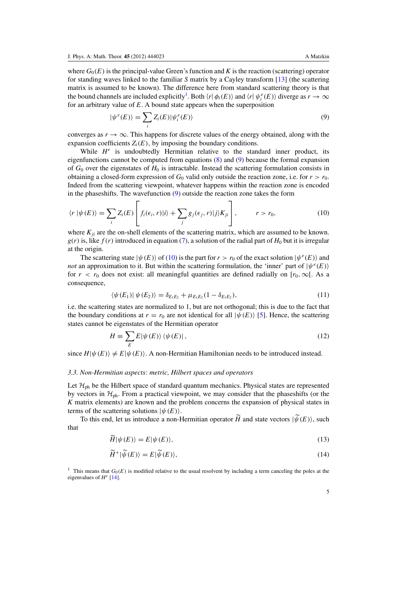<span id="page-4-0"></span>where  $G_0(E)$  is the principal-value Green's function and K is the reaction (scattering) operator for standing waves linked to the familiar *S* matrix by a Cayley transform [\[13](#page--1-0)] (the scattering matrix is assumed to be known). The difference here from standard scattering theory is that the bound channels are included explicitly<sup>[1](#page-5-0)</sup>. Both  $\langle r | \phi_i(E) \rangle$  and  $\langle r | \psi_i^e(E) \rangle$  diverge as  $r \to \infty$ for an arbitrary value of *E*. A bound state appears when the superposition

$$
|\psi^{e}(E)\rangle = \sum_{i} Z_{i}(E) |\psi_{i}^{e}(E)\rangle
$$
\n(9)

converges as  $r \to \infty$ . This happens for discrete values of the energy obtained, along with the expansion coefficients  $Z_i(E)$ , by imposing the boundary conditions.

While  $H^e$  is undoubtedly Hermitian relative to the standard inner product, its eigenfunctions cannot be computed from equations (8) and [\(9\)](#page-5-0) because the formal expansion of  $G_0$  over the eigenstates of  $H_0$  is intractable. Instead the scattering formulation consists in obtaining a closed-form expression of  $G_0$  valid only outside the reaction zone, i.e. for  $r > r_0$ . Indeed from the scattering viewpoint, whatever happens within the reaction zone is encoded in the phases hifts. The wavefunction  $(9)$  outside the reaction zone takes the form

$$
\langle r | \psi(E) \rangle = \sum_{i} Z_i(E) \left[ f_i(\epsilon_i, r) | i \rangle + \sum_{j} g_j(\epsilon_j, r) | j \rangle K_{ji} \right], \qquad r > r_0,
$$
\n(10)

where  $K_{ii}$  are the on-shell elements of the scattering matrix, which are assumed to be known.  $g(r)$  is, like  $f(r)$  introduced in equation (7), a solution of the radial part of  $H_0$  but it is irregular at the origin.

The scattering state  $|\psi(E)\rangle$  of [\(10\)](#page-5-0) is the part for  $r > r_0$  of the exact solution  $|\psi^e(E)\rangle$  and *not* an approximation to it. But within the scattering formulation, the 'inner' part of  $|\psi^e(E)\rangle$ for  $r < r_0$  does not exist: all meaningful quantities are defined radially on  $[r_0, \infty)$ . As a consequence,

$$
\langle \psi(E_1) | \psi(E_2) \rangle = \delta_{E_1 E_2} + \mu_{E_1 E_2} (1 - \delta_{E_1 E_2}), \tag{11}
$$

i.e. the scattering states are normalized to 1, but are not orthogonal; this is due to the fact that the boundary conditions at  $r = r_0$  are not identical for all  $|\psi(E)\rangle$  [\[5\]](#page--1-0). Hence, the scattering states cannot be eigenstates of the Hermitian operator

$$
H \equiv \sum_{E} E|\psi(E)\rangle\langle\psi(E)|\,,\tag{12}
$$

since  $H|\psi(E)\rangle \neq E|\psi(E)\rangle$ . A non-Hermitian Hamiltonian needs to be introduced instead.

## *3.3. Non-Hermitian aspects: metric, Hilbert spaces and operators*

Let  $\mathcal{H}_{ph}$  be the Hilbert space of standard quantum mechanics. Physical states are represented by vectors in  $\mathcal{H}_{ph}$ . From a practical viewpoint, we may consider that the phaseshifts (or the *K* matrix elements) are known and the problem concerns the expansion of physical states in terms of the scattering solutions  $|\psi(E)\rangle$ .

To this end, let us introduce a non-Hermitian operator *H* and state vectors  $|\psi(E)\rangle$ , such that

$$
\tilde{H}|\psi(E)\rangle = E|\psi(E)\rangle,\tag{13}
$$

$$
\widetilde{H}^+|\widetilde{\psi}(E)\rangle = E|\widetilde{\psi}(E)\rangle,\tag{14}
$$

<sup>1</sup> This means that  $G_0(E)$  is modified relative to the usual resolvent by including a term canceling the poles at the eigenvalues of *H e* [\[14\]](#page--1-0).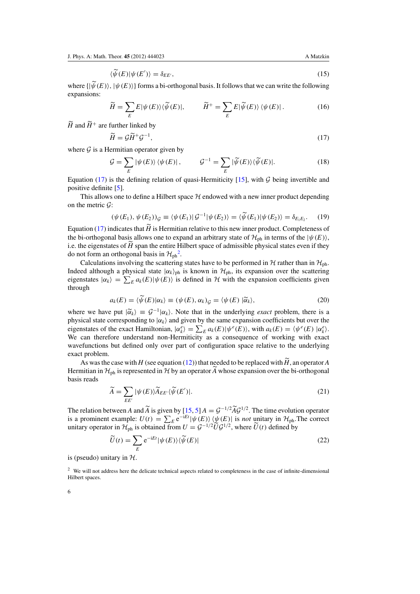$$
\langle \widetilde{\psi}(E) | \psi(E') \rangle = \delta_{EE'},\tag{15}
$$

<span id="page-5-0"></span>where  $\{|\psi(E)\rangle, |\psi(E)\rangle\}$  forms a bi-orthogonal basis. It follows that we can write the following expansions:

$$
\widetilde{H} = \sum_{E} E|\psi(E)\rangle\langle\widetilde{\psi}(E)|, \qquad \widetilde{H}^{+} = \sum_{E} E|\widetilde{\psi}(E)\rangle\langle\psi(E)|. \tag{16}
$$

 $\widetilde{H}$  and  $\widetilde{H}^+$  are further linked by

$$
\widetilde{H} = \mathcal{G}\widetilde{H}^+\mathcal{G}^{-1},\tag{17}
$$

where  $G$  is a Hermitian operator given by

$$
\mathcal{G} = \sum_{E} |\psi(E)\rangle \langle \psi(E)|, \qquad \mathcal{G}^{-1} = \sum_{E} |\widetilde{\psi}(E)\rangle \langle \widetilde{\psi}(E)|. \tag{18}
$$

Equation [\(17\)](#page-6-0) is the defining relation of quasi-Hermiticity [\[15\]](#page--1-0), with  $G$  being invertible and positive definite [\[5](#page--1-0)].

This allows one to define a Hilbert space  $H$  endowed with a new inner product depending on the metric  $\mathcal{G}$ :

$$
(\psi(E_1), \psi(E_2))_{\mathcal{G}} \equiv \langle \psi(E_1) | \mathcal{G}^{-1} | \psi(E_2) \rangle = \langle \widetilde{\psi}(E_1) | \psi(E_2) \rangle = \delta_{E_1 E_2}.
$$
 (19)

Equation [\(17\)](#page-6-0) indicates that *H* is Hermitian relative to this new inner product. Completeness of the bi-orthogonal basis allows one to expand an arbitrary state of  $\mathcal{H}_{ph}$  in terms of the  $|\psi(E)\rangle$ , i.e. the eigenstates of  $H$  span the entire Hilbert space of admissible physical states even if they do not form an orthogonal basis in  $\mathcal{H}_{ph}^2$  $\mathcal{H}_{ph}^2$ .

Calculations involving the scattering states have to be performed in  $H$  rather than in  $H_{ph}$ . Indeed although a physical state  $|\alpha_k\rangle_{\text{ph}}$  is known in  $\mathcal{H}_{\text{ph}}$ , its expansion over the scattering eigenstates  $|\alpha_k\rangle = \sum_E a_k(E) |\psi(E)\rangle$  is defined in H with the expansion coefficients given through

$$
a_k(E) = \langle \tilde{\psi}(E) | \alpha_k \rangle \equiv (\psi(E), \alpha_k)_{\mathcal{G}} = \langle \psi(E) | \tilde{\alpha}_k \rangle, \tag{20}
$$

where we have put  $|\widetilde{\alpha}_k\rangle \equiv \mathcal{G}^{-1}|\alpha_k\rangle$ . Note that in the underlying *exact* problem, there is a characteristic detector of  $\alpha$ physical state corresponding to  $|\alpha_k\rangle$  and given by the same expansion coefficients but over the eigenstates of the exact Hamiltonian,  $|\alpha_k^e\rangle = \sum_E a_k(E) |\psi^e(E)\rangle$ , with  $a_k(E) = \langle \psi^e(E) | \alpha_k^e \rangle$ . We can therefore understand non-Hermiticity as a consequence of working with exact wavefunctions but defined only over part of configuration space relative to the underlying exact problem.

As was the case with *H* (see equation (12)) that needed to be replaced with *H*, an operator *A* Hermitian in  $\mathcal{H}_{ph}$  is represented in  $\mathcal{H}$  by an operator  $\tilde{A}$  whose expansion over the bi-orthogonal basis reads

$$
\widetilde{A} = \sum_{E E'} |\psi(E)\rangle \widetilde{A}_{E E'} \langle \widetilde{\psi}(E')|.
$$
\n(21)

The relation between *A* and  $\widetilde{A}$  is given by [\[15,](#page--1-0) [5](#page--1-0)]  $A = \mathcal{G}^{-1/2} \widetilde{A} \mathcal{G}^{1/2}$ . The time evolution operator is a prominent example:  $U(t) = \sum_{E} e^{-iEt} |\psi(E)\rangle \langle \psi(E)|$  is *not* unitary in  $\mathcal{H}_{ph}$ . The correct unitary operator in  $\mathcal{H}_{ph}$  is obtained from  $U = \mathcal{G}^{-1/2} \widetilde{U} \mathcal{G}^{1/2}$ , where  $\widetilde{U}(t)$  defined by

$$
\widetilde{U}(t) = \sum_{E} e^{-iEt} |\psi(E)\rangle \langle \widetilde{\psi}(E)| \tag{22}
$$

is (pseudo) unitary in  $H$ .

<sup>2</sup> We will not address here the delicate technical aspects related to completeness in the case of infinite-dimensional Hilbert spaces.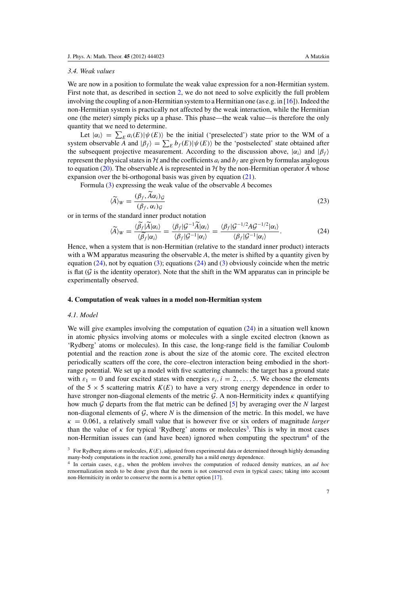#### <span id="page-6-0"></span>*3.4. Weak values*

We are now in a position to formulate the weak value expression for a non-Hermitian system. First note that, as described in section [2,](#page-2-0) we do not need to solve explicitly the full problem involving the coupling of a non-Hermitian system to a Hermitian one (as e.g. in [\[16](#page--1-0)]). Indeed the non-Hermitian system is practically not affected by the weak interaction, while the Hermitian one (the meter) simply picks up a phase. This phase—the weak value—is therefore the only quantity that we need to determine.

Let  $|\alpha_i\rangle = \sum_E a_i(E) |\psi(E)\rangle$  be the initial ('preselected') state prior to the WM of a system observable  $\overline{A}$  and  $|\beta_f\rangle = \sum_E b_f(E) |\psi(E)\rangle$  be the 'postselected' state obtained after the subsequent projective measurement. According to the discussion above,  $|\alpha_i\rangle$  and  $|\beta_f\rangle$ represent the physical states in  $H$  and the coefficients  $a_i$  and  $b_f$  are given by formulas analogous to equation (20). The observable *A* is represented in *H* by the non-Hermitian operator *A* whose expansion over the bi-orthogonal basis was given by equation (21).

Formula [\(3\)](#page-3-0) expressing the weak value of the observable *A* becomes

$$
\langle \widetilde{A} \rangle_W = \frac{(\beta_f, A\alpha_i)_{\mathcal{G}}}{(\beta_f, \alpha_i)_{\mathcal{G}}}
$$
\n(23)

or in terms of the standard inner product notation

$$
\langle \widetilde{A} \rangle_W = \frac{\langle \widetilde{\beta_f} | \widetilde{A} | \alpha_i \rangle}{\langle \widetilde{\beta_f} | \alpha_i \rangle} = \frac{\langle \beta_f | \mathcal{G}^{-1} \widetilde{A} | \alpha_i \rangle}{\langle \beta_f | \mathcal{G}^{-1} | \alpha_i \rangle} = \frac{\langle \beta_f | \mathcal{G}^{-1/2} A \mathcal{G}^{-1/2} | \alpha_i \rangle}{\langle \beta_f | \mathcal{G}^{-1} | \alpha_i \rangle}.
$$
(24)

Hence, when a system that is non-Hermitian (relative to the standard inner product) interacts with a WM apparatus measuring the observable A, the meter is shifted by a quantity given by equation  $(24)$ , not by equation  $(3)$ ; equations  $(24)$  and  $(3)$  obviously coincide when the metric is flat  $(G$  is the identity operator). Note that the shift in the WM apparatus can in principle be experimentally observed.

## **4. Computation of weak values in a model non-Hermitian system**

## *4.1. Model*

We will give examples involving the computation of equation  $(24)$  in a situation well known in atomic physics involving atoms or molecules with a single excited electron (known as 'Rydberg' atoms or molecules). In this case, the long-range field is the familiar Coulomb potential and the reaction zone is about the size of the atomic core. The excited electron periodically scatters off the core, the core–electron interaction being embodied in the shortrange potential. We set up a model with five scattering channels: the target has a ground state with  $\varepsilon_1 = 0$  and four excited states with energies  $\varepsilon_i$ ,  $i = 2, \ldots, 5$ . We choose the elements of the 5  $\times$  5 scattering matrix  $K(E)$  to have a very strong energy dependence in order to have stronger non-diagonal elements of the metric  $G$ . A non-Hermiticity index  $\kappa$  quantifying how much G departs from the flat metric can be defined [\[5](#page--1-0)] by averaging over the *N* largest non-diagonal elements of  $G$ , where  $N$  is the dimension of the metric. In this model, we have  $\kappa = 0.061$ , a relatively small value that is however five or six orders of magnitude *larger* than the value of  $\kappa$  for typical 'Rydberg' atoms or molecules<sup>[3](#page-7-0)</sup>. This is why in most cases non-Hermitian issues can (and have been) ignored when computing the spectrum<sup>[4](#page-7-0)</sup> of the

<sup>&</sup>lt;sup>3</sup> For Rydberg atoms or molecules,  $K(E)$ , adjusted from experimental data or determined through highly demanding many-body computations in the reaction zone, generally has a mild energy dependence.

<sup>4</sup> In certain cases, e.g., when the problem involves the computation of reduced density matrices, an *ad hoc* renormalization needs to be done given that the norm is not conserved even in typical cases; taking into account non-Hermiticity in order to conserve the norm is a better option [\[17](#page--1-0)].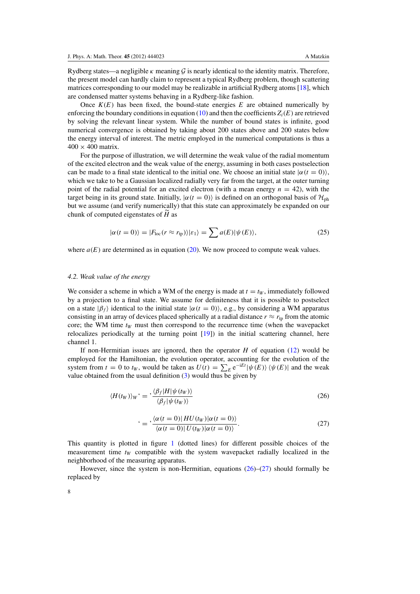<span id="page-7-0"></span>Rydberg states—a negligible  $\kappa$  meaning  $\mathcal G$  is nearly identical to the identity matrix. Therefore, the present model can hardly claim to represent a typical Rydberg problem, though scattering matrices corresponding to our model may be realizable in artificial Rydberg atoms [\[18](#page--1-0)], which are condensed matter systems behaving in a Rydberg-like fashion.

Once  $K(E)$  has been fixed, the bound-state energies  $E$  are obtained numerically by enforcing the boundary conditions in equation [\(10\)](#page-5-0) and then the coefficients  $Z_i(E)$  are retrieved by solving the relevant linear system. While the number of bound states is infinite, good numerical convergence is obtained by taking about 200 states above and 200 states below the energy interval of interest. The metric employed in the numerical computations is thus a  $400 \times 400$  matrix.

For the purpose of illustration, we will determine the weak value of the radial momentum of the excited electron and the weak value of the energy, assuming in both cases postselection can be made to a final state identical to the initial one. We choose an initial state  $|\alpha(t=0)\rangle$ , which we take to be a Gaussian localized radially very far from the target, at the outer turning point of the radial potential for an excited electron (with a mean energy  $n = 42$ ), with the target being in its ground state. Initially,  $|\alpha(t=0)\rangle$  is defined on an orthogonal basis of  $\mathcal{H}_{ph}$ but we assume (and verify numerically) that this state can approximately be expanded on our chunk of computed eigenstates of *H* as

$$
|\alpha(t=0)\rangle = |F_{\text{loc}}(r \approx r_{\text{tp}})\rangle |\varepsilon_1\rangle = \sum a(E)|\psi(E)\rangle,\tag{25}
$$

where  $a(E)$  are determined as in equation [\(20\)](#page-6-0). We now proceed to compute weak values.

### *4.2. Weak value of the energy*

We consider a scheme in which a WM of the energy is made at  $t = t_W$ , immediately followed by a projection to a final state. We assume for definiteness that it is possible to postselect on a state  $|\beta_f\rangle$  identical to the initial state  $|\alpha(t=0)\rangle$ , e.g., by considering a WM apparatus consisting in an array of devices placed spherically at a radial distance  $r \approx r_{tp}$  from the atomic core; the WM time *t<sup>W</sup>* must then correspond to the recurrence time (when the wavepacket relocalizes periodically at the turning point [\[19\]](#page--1-0)) in the initial scattering channel, here channel 1.

If non-Hermitian issues are ignored, then the operator *H* of equation [\(12\)](#page-5-0) would be employed for the Hamiltonian, the evolution operator, accounting for the evolution of the system from  $t = 0$  to  $t_W$ , would be taken as  $U(t) = \sum_E e^{-iEt} |\psi(E)\rangle \langle \psi(E)|$  and the weak value obtained from the usual definition  $(3)$  would thus be given by

$$
\langle H(t_W) \rangle_W \dot{ } = \frac{\langle \beta_f | H | \psi(t_W) \rangle}{\langle \beta_f | \psi(t_W) \rangle} \tag{26}
$$

$$
f = \frac{\langle \alpha(t=0) | H U(t_W) | \alpha(t=0) \rangle}{\langle \alpha(t=0) | U(t_W) | \alpha(t=0) \rangle}.
$$
\n(27)

This quantity is plotted in figure [1](#page-9-0) (dotted lines) for different possible choices of the measurement time  $t_W$  compatible with the system wavepacket radially localized in the neighborhood of the measuring apparatus.

However, since the system is non-Hermitian, equations  $(26)$ – $(27)$  should formally be replaced by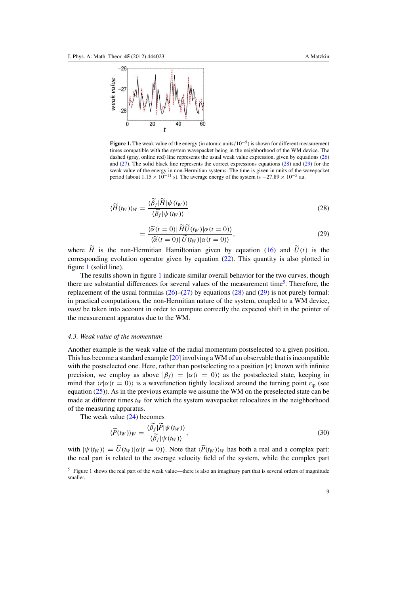<span id="page-8-0"></span>

=

**Figure 1.** The weak value of the energy (in atomic units/10−<sup>5</sup> ) is shown for different measurement times compatible with the system wavepacket being in the neighborhood of the WM device. The dashed (gray, online red) line represents the usual weak value expression, given by equations (26) and (27). The solid black line represents the correct expressions equations [\(28\)](#page-9-0) and [\(29\)](#page-9-0) for the weak value of the energy in non-Hermitian systems. The time is given in units of the wavepacket period (about  $1.15 \times 10^{-11}$  s). The average energy of the system is  $-27.89 \times 10^{-5}$  au.

$$
\langle \widetilde{H}(t_W) \rangle_W = \frac{\langle \widetilde{\beta}_f | \widetilde{H} | \psi(t_W) \rangle}{\langle \widetilde{\beta}_f | \psi(t_W) \rangle} \tag{28}
$$

$$
= \frac{\langle \widetilde{\alpha}(t=0) | \widetilde{H} \widetilde{U}(t_W) | \alpha(t=0) \rangle}{\langle \widetilde{\alpha}(t=0) | \widetilde{U}(t_W) | \alpha(t=0) \rangle}, \tag{29}
$$

where *H* is the non-Hermitian Hamiltonian given by equation [\(16\)](#page-6-0) and  $U(t)$  is the corresponding evolution operator given by equation [\(22\)](#page-6-0). This quantity is also plotted in figure [1](#page-9-0) (solid line).

The results shown in figure [1](#page-9-0) indicate similar overall behavior for the two curves, though there are substantial differences for several values of the measurement time<sup>[5](#page-9-0)</sup>. Therefore, the replacement of the usual formulas  $(26)$ – $(27)$  by equations [\(28\)](#page-9-0) and [\(29\)](#page-9-0) is not purely formal: in practical computations, the non-Hermitian nature of the system, coupled to a WM device, *must* be taken into account in order to compute correctly the expected shift in the pointer of the measurement apparatus due to the WM.

## *4.3. Weak value of the momentum*

Another example is the weak value of the radial momentum postselected to a given position. This has become a standard example [\[20](#page--1-0)] involving a WM of an observable that is incompatible with the postselected one. Here, rather than postselecting to a position  $|r\rangle$  known with infinite precision, we employ as above  $|\beta_f\rangle = |\alpha(t = 0)\rangle$  as the postselected state, keeping in mind that  $\langle r | \alpha(t = 0) \rangle$  is a wavefunction tightly localized around the turning point  $r_{tp}$  (see equation  $(25)$ ). As in the previous example we assume the WM on the preselected state can be made at different times  $t_W$  for which the system wavepacket relocalizes in the neighborhood of the measuring apparatus.

The weak value  $(24)$  becomes

$$
\langle \widetilde{P}(t_W) \rangle_W = \frac{\langle \widetilde{\beta_f} | \widetilde{P} | \psi(t_W) \rangle}{\langle \widetilde{\beta_f} | \psi(t_W) \rangle},\tag{30}
$$

with  $|\psi(t_W)\rangle = U(t_W)|\alpha(t=0)\rangle$ . Note that  $\langle P(t_W)\rangle_W$  has both a real and a complex part: the real part is related to the average velocity field of the system, while the complex part

<sup>&</sup>lt;sup>5</sup> Figure 1 shows the real part of the weak value—there is also an imaginary part that is several orders of magnitude smaller.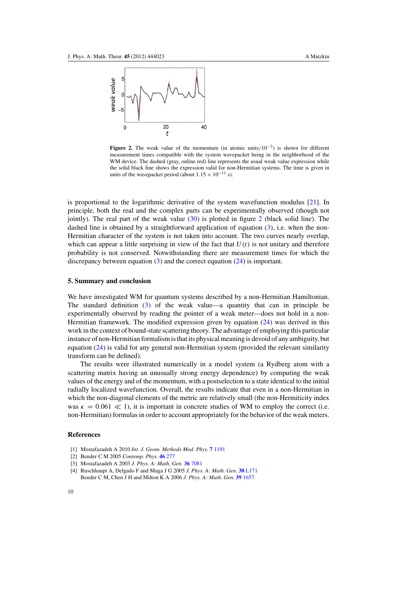<span id="page-9-0"></span>

**Figure 2.** The weak value of the momentum (in atomic units/ $10^{-3}$ ) is shown for different measurement times compatible with the system wavepacket being in the neighborhood of the WM device. The dashed (gray, online red) line represents the usual weak value expression while the solid black line shows the expression valid for non-Hermitian systems. The time is given in units of the wavepacket period (about  $1.15 \times 10^{-11}$  s).

is proportional to the logarithmic derivative of the system wavefunction modulus  $[21]$ . In principle, both the real and the complex parts can be experimentally observed (though not jointly). The real part of the weak value  $(30)$  is plotted in figure [2](#page-10-0) (black solid line). The dashed line is obtained by a straightforward application of equation  $(3)$ , i.e. when the non-Hermitian character of the system is not taken into account. The two curves nearly overlap, which can appear a little surprising in view of the fact that  $U(t)$  is not unitary and therefore probability is not conserved. Notwithstanding there are measurement times for which the discrepancy between equation [\(3\)](#page-3-0) and the correct equation [\(24\)](#page-7-0) is important.

# **5. Summary and conclusion**

We have investigated WM for quantum systems described by a non-Hermitian Hamiltonian. The standard definition [\(3\)](#page-3-0) of the weak value—a quantity that can in principle be experimentally observed by reading the pointer of a weak meter—does not hold in a non-Hermitian framework. The modified expression given by equation [\(24\)](#page-7-0) was derived in this work in the context of bound-state scattering theory. The advantage of employing this particular instance of non-Hermitian formalism is that its physical meaning is devoid of any ambiguity, but equation [\(24\)](#page-7-0) is valid for any general non-Hermitian system (provided the relevant similarity transform can be defined).

The results were illustrated numerically in a model system (a Rydberg atom with a scattering matrix having an unusually strong energy dependence) by computing the weak values of the energy and of the momentum, with a postselection to a state identical to the initial radially localized wavefunction. Overall, the results indicate that even in a non-Hermitian in which the non-diagonal elements of the metric are relatively small (the non-Hermiticity index was  $\kappa = 0.061 \ll 1$ ), it is important in concrete studies of WM to employ the correct (i.e. non-Hermitian) formulas in order to account appropriately for the behavior of the weak meters.

# **References**

- [1] Mostafazadeh A 2010 *Int. J. Geom. Methods Mod. Phys.* **7** [1191](http://dx.doi.org/10.1142/S0219887810004816)
- [2] Bender C M 2005 *Contemp. Phys.* **46** [277](http://dx.doi.org/10.1080/00107500072632)
- [3] Mostafazadeh A 2003 *J. Phys. A: Math. Gen.* **36** [7081](http://dx.doi.org/10.1088/0305-4470/36/25/312)
- [4] Ruschhaupt A, Delgado F and Muga J G 2005 *J. Phys. A: Math. Gen.* **38** [L171](http://dx.doi.org/10.1088/0305-4470/38/9/L03) Bender C M, Chen J H and Milton K A 2006 *J. Phys. A: Math. Gen.* **39** [1657](http://dx.doi.org/10.1088/0305-4470/39/7/010)